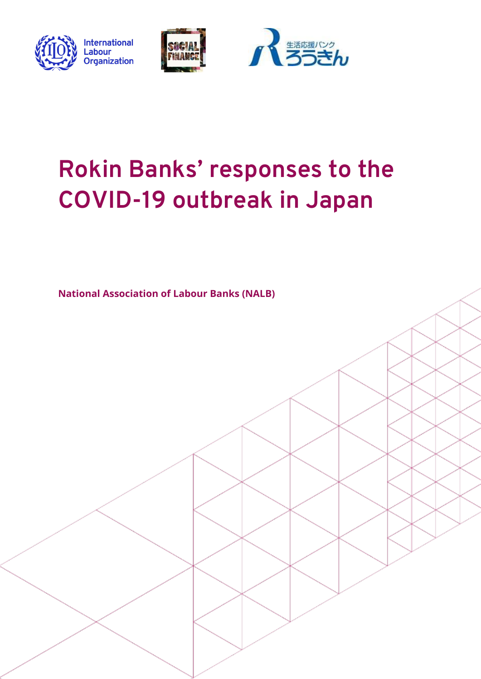





# **Rokin Banks' responses to the COVID-19 outbreak in Japan**

**National Association of Labour Banks (NALB)**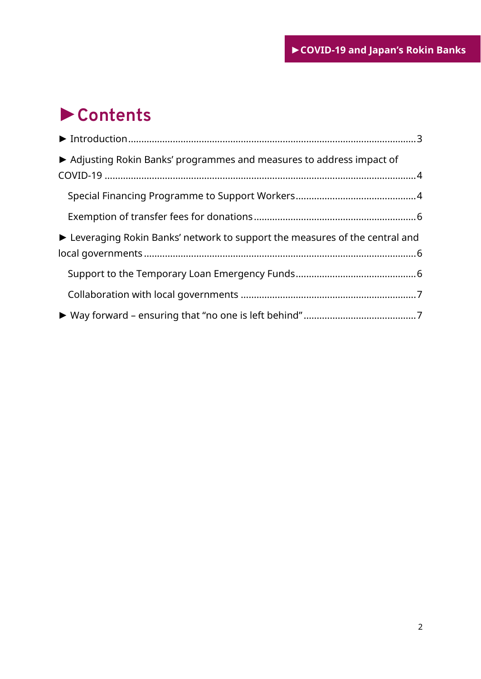## ►**Contents**

| ▶ Adjusting Rokin Banks' programmes and measures to address impact of        |  |
|------------------------------------------------------------------------------|--|
|                                                                              |  |
|                                                                              |  |
|                                                                              |  |
| ► Leveraging Rokin Banks' network to support the measures of the central and |  |
|                                                                              |  |
|                                                                              |  |
|                                                                              |  |
|                                                                              |  |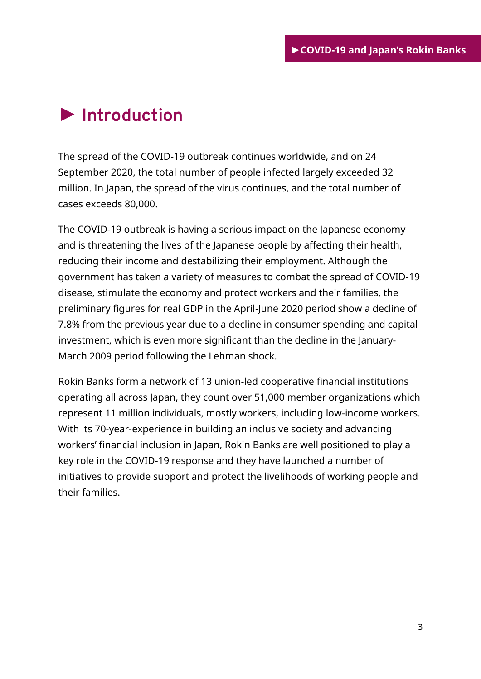### <span id="page-2-0"></span>**► Introduction**

The spread of the COVID-19 outbreak continues worldwide, and on 24 September 2020, the total number of people infected largely exceeded 32 million. In Japan, the spread of the virus continues, and the total number of cases exceeds 80,000.

The COVID-19 outbreak is having a serious impact on the Japanese economy and is threatening the lives of the Japanese people by affecting their health, reducing their income and destabilizing their employment. Although the government has taken a variety of measures to combat the spread of COVID-19 disease, stimulate the economy and protect workers and their families, the preliminary figures for real GDP in the April-June 2020 period show a decline of 7.8% from the previous year due to a decline in consumer spending and capital investment, which is even more significant than the decline in the January-March 2009 period following the Lehman shock.

Rokin Banks form a network of 13 union-led cooperative financial institutions operating all across Japan, they count over 51,000 member organizations which represent 11 million individuals, mostly workers, including low-income workers. With its 70-year-experience in building an inclusive society and advancing workers' financial inclusion in Japan, Rokin Banks are well positioned to play a key role in the COVID-19 response and they have launched a number of initiatives to provide support and protect the livelihoods of working people and their families.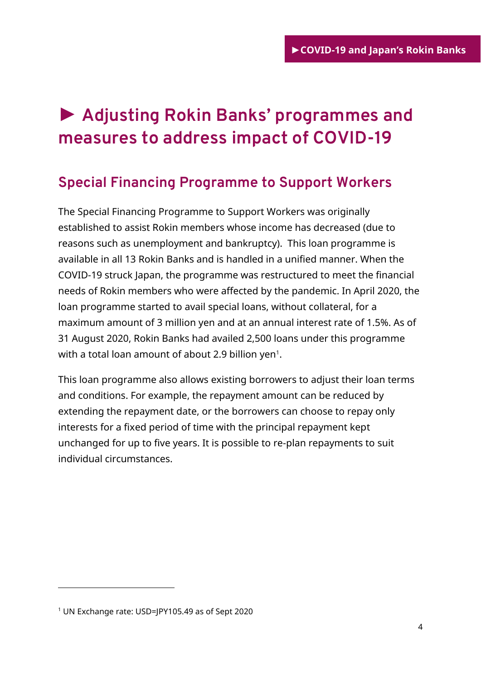## <span id="page-3-0"></span>**► Adjusting Rokin Banks' programmes and measures to address impact of COVID-19**

### <span id="page-3-1"></span>**Special Financing Programme to Support Workers**

The Special Financing Programme to Support Workers was originally established to assist Rokin members whose income has decreased (due to reasons such as unemployment and bankruptcy). This loan programme is available in all 13 Rokin Banks and is handled in a unified manner. When the COVID-19 struck Japan, the programme was restructured to meet the financial needs of Rokin members who were affected by the pandemic. In April 2020, the loan programme started to avail special loans, without collateral, for a maximum amount of 3 million yen and at an annual interest rate of 1.5%. As of 31 August 2020, Rokin Banks had availed 2,500 loans under this programme with a total loan amount of about 2.9 billion yen $^{\rm 1}.$ 

This loan programme also allows existing borrowers to adjust their loan terms and conditions. For example, the repayment amount can be reduced by extending the repayment date, or the borrowers can choose to repay only interests for a fixed period of time with the principal repayment kept unchanged for up to five years. It is possible to re-plan repayments to suit individual circumstances.

-

<sup>1</sup> UN Exchange rate: USD=JPY105.49 as of Sept 2020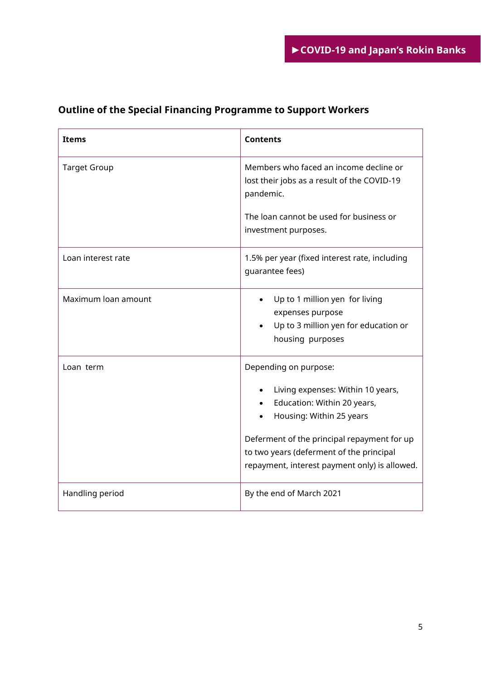| <b>Items</b>        | <b>Contents</b>                                                                                                                                                                                                                                                   |
|---------------------|-------------------------------------------------------------------------------------------------------------------------------------------------------------------------------------------------------------------------------------------------------------------|
| <b>Target Group</b> | Members who faced an income decline or<br>lost their jobs as a result of the COVID-19<br>pandemic.<br>The loan cannot be used for business or                                                                                                                     |
|                     | investment purposes.                                                                                                                                                                                                                                              |
| Loan interest rate  | 1.5% per year (fixed interest rate, including<br>guarantee fees)                                                                                                                                                                                                  |
| Maximum loan amount | Up to 1 million yen for living<br>expenses purpose<br>Up to 3 million yen for education or<br>housing purposes                                                                                                                                                    |
| Loan term           | Depending on purpose:<br>Living expenses: Within 10 years,<br>Education: Within 20 years,<br>Housing: Within 25 years<br>Deferment of the principal repayment for up<br>to two years (deferment of the principal<br>repayment, interest payment only) is allowed. |
| Handling period     | By the end of March 2021                                                                                                                                                                                                                                          |

#### **Outline of the Special Financing Programme to Support Workers**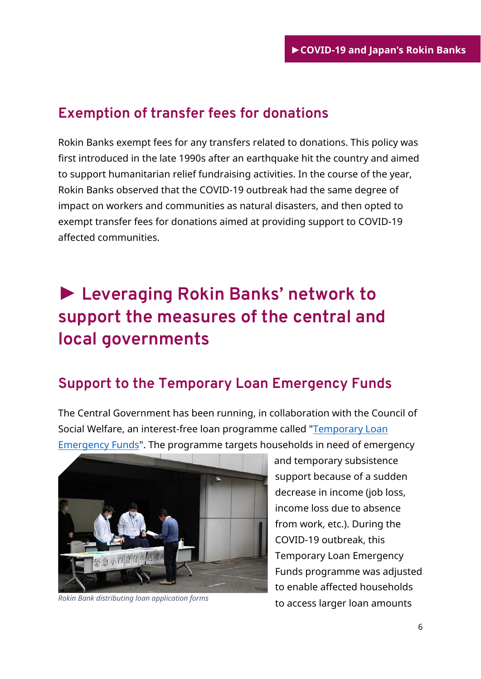### <span id="page-5-0"></span>**Exemption of transfer fees for donations**

Rokin Banks exempt fees for any transfers related to donations. This policy was first introduced in the late 1990s after an earthquake hit the country and aimed to support humanitarian relief fundraising activities. In the course of the year, Rokin Banks observed that the COVID-19 outbreak had the same degree of impact on workers and communities as natural disasters, and then opted to exempt transfer fees for donations aimed at providing support to COVID-19 affected communities.

### <span id="page-5-1"></span>**► Leveraging Rokin Banks' network to support the measures of the central and local governments**

#### <span id="page-5-2"></span>**Support to the Temporary Loan Emergency Funds**

The Central Government has been running, in collaboration with the Council of Social Welfare, an interest-free loan programme called ["Temporary Loan](https://corona-support.mhlw.go.jp/seikatsufukushi/en/index.html)  [Emergency Funds"](https://corona-support.mhlw.go.jp/seikatsufukushi/en/index.html). The programme targets households in need of emergency



 and temporary subsistence support because of a sudden decrease in income (job loss, income loss due to absence from work, etc.). During the COVID-19 outbreak, this Temporary Loan Emergency Funds programme was adjusted to enable affected households to access larger loan amounts *Rokin Bank distributing loan application forms*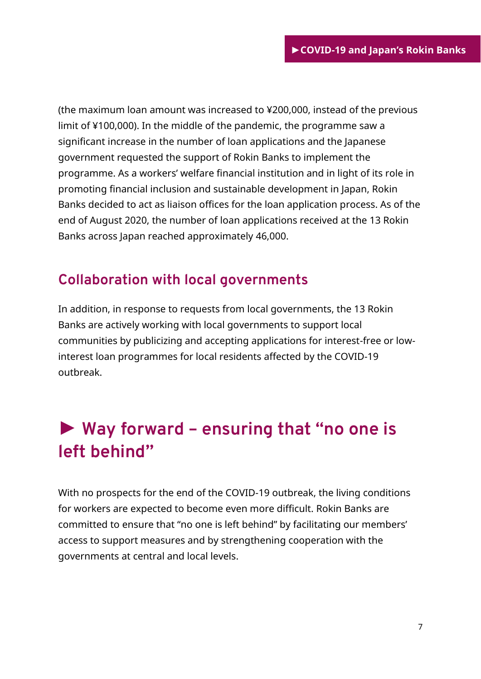(the maximum loan amount was increased to ¥200,000, instead of the previous limit of ¥100,000). In the middle of the pandemic, the programme saw a significant increase in the number of loan applications and the Japanese government requested the support of Rokin Banks to implement the programme. As a workers' welfare financial institution and in light of its role in promoting financial inclusion and sustainable development in Japan, Rokin Banks decided to act as liaison offices for the loan application process. As of the end of August 2020, the number of loan applications received at the 13 Rokin Banks across Japan reached approximately 46,000.

#### <span id="page-6-0"></span>**Collaboration with local governments**

In addition, in response to requests from local governments, the 13 Rokin Banks are actively working with local governments to support local communities by publicizing and accepting applications for interest-free or lowinterest loan programmes for local residents affected by the COVID-19 outbreak.

### <span id="page-6-1"></span>**► Way forward – ensuring that "no one is left behind"**

With no prospects for the end of the COVID-19 outbreak, the living conditions for workers are expected to become even more difficult. Rokin Banks are committed to ensure that "no one is left behind" by facilitating our members' access to support measures and by strengthening cooperation with the governments at central and local levels.